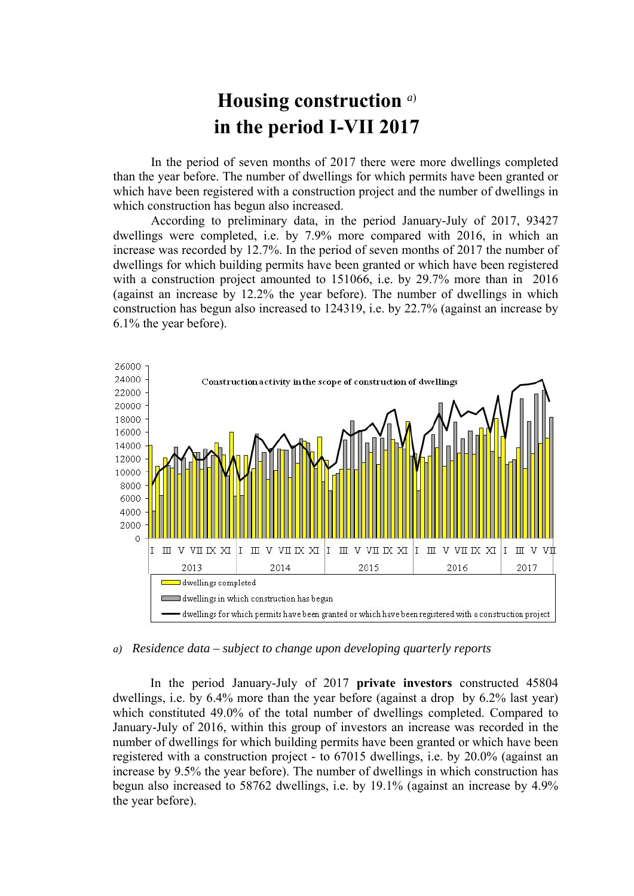## **Housing construction** *a*) **in the period I-VII 2017**

In the period of seven months of 2017 there were more dwellings completed than the year before. The number of dwellings for which permits have been granted or which have been registered with a construction project and the number of dwellings in which construction has begun also increased.

According to preliminary data, in the period January-July of 2017, 93427 dwellings were completed, i.e. by 7.9% more compared with 2016, in which an increase was recorded by 12.7%. In the period of seven months of 2017 the number of dwellings for which building permits have been granted or which have been registered with a construction project amounted to 151066, i.e. by 29.7% more than in 2016 (against an increase by 12.2% the year before). The number of dwellings in which construction has begun also increased to 124319, i.e. by 22.7% (against an increase by 6.1% the year before).



## *a) Residence data – subject to change upon developing quarterly reports*

In the period January-July of 2017 **private investors** constructed 45804 dwellings, i.e. by 6.4% more than the year before (against a drop by 6.2% last year) which constituted 49.0% of the total number of dwellings completed. Compared to January-July of 2016, within this group of investors an increase was recorded in the number of dwellings for which building permits have been granted or which have been registered with a construction project - to 67015 dwellings, i.e. by 20.0% (against an increase by 9.5% the year before). The number of dwellings in which construction has begun also increased to 58762 dwellings, i.e. by 19.1% (against an increase by 4.9% the year before).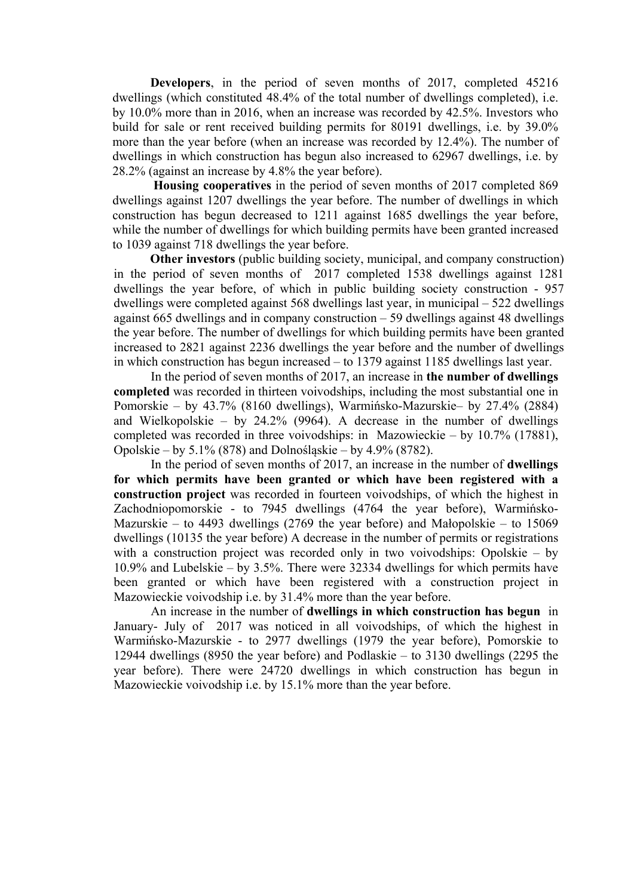**Developers**, in the period of seven months of 2017, completed 45216 dwellings (which constituted 48.4% of the total number of dwellings completed), i.e. by 10.0% more than in 2016, when an increase was recorded by 42.5%. Investors who build for sale or rent received building permits for 80191 dwellings, i.e. by 39.0% more than the year before (when an increase was recorded by 12.4%). The number of dwellings in which construction has begun also increased to 62967 dwellings, i.e. by 28.2% (against an increase by 4.8% the year before).

**Housing cooperatives** in the period of seven months of 2017 completed 869 dwellings against 1207 dwellings the year before. The number of dwellings in which construction has begun decreased to 1211 against 1685 dwellings the year before, while the number of dwellings for which building permits have been granted increased to 1039 against 718 dwellings the year before.

**Other investors** (public building society, municipal, and company construction) in the period of seven months of 2017 completed 1538 dwellings against 1281 dwellings the year before, of which in public building society construction - 957 dwellings were completed against 568 dwellings last year, in municipal – 522 dwellings against 665 dwellings and in company construction – 59 dwellings against 48 dwellings the year before. The number of dwellings for which building permits have been granted increased to 2821 against 2236 dwellings the year before and the number of dwellings in which construction has begun increased – to 1379 against 1185 dwellings last year.

In the period of seven months of 2017, an increase in **the number of dwellings completed** was recorded in thirteen voivodships, including the most substantial one in Pomorskie – by 43.7% (8160 dwellings), Warmińsko-Mazurskie– by 27.4% (2884) and Wielkopolskie – by  $24.2\%$  (9964). A decrease in the number of dwellings completed was recorded in three voivodships: in Mazowieckie – by 10.7% (17881), Opolskie – by 5.1% (878) and Dolnośląskie – by 4.9% (8782).

In the period of seven months of 2017, an increase in the number of **dwellings for which permits have been granted or which have been registered with a construction project** was recorded in fourteen voivodships, of which the highest in Zachodniopomorskie - to 7945 dwellings (4764 the year before), Warmińsko-Mazurskie – to 4493 dwellings (2769 the year before) and Małopolskie – to 15069 dwellings (10135 the year before) A decrease in the number of permits or registrations with a construction project was recorded only in two voivodships: Opolskie – by 10.9% and Lubelskie – by 3.5%. There were 32334 dwellings for which permits have been granted or which have been registered with a construction project in Mazowieckie voivodship i.e. by 31.4% more than the year before.

An increase in the number of **dwellings in which construction has begun** in January- July of 2017 was noticed in all voivodships, of which the highest in Warmińsko-Mazurskie - to 2977 dwellings (1979 the year before), Pomorskie to 12944 dwellings (8950 the year before) and Podlaskie – to 3130 dwellings (2295 the year before). There were 24720 dwellings in which construction has begun in Mazowieckie voivodship i.e. by 15.1% more than the year before.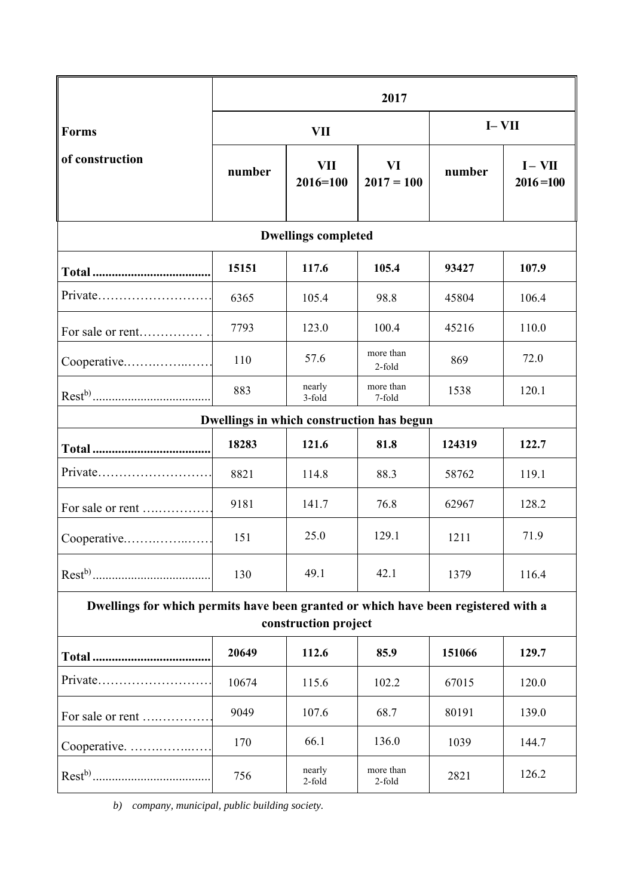|                                                                                                            | 2017       |                            |                     |         |                           |
|------------------------------------------------------------------------------------------------------------|------------|----------------------------|---------------------|---------|---------------------------|
| <b>Forms</b><br>of construction                                                                            | <b>VII</b> |                            |                     | $I-VII$ |                           |
|                                                                                                            | number     | <b>VII</b><br>$2016 = 100$ | VI<br>$2017 = 100$  | number  | $I - VII$<br>$2016 = 100$ |
| <b>Dwellings completed</b>                                                                                 |            |                            |                     |         |                           |
|                                                                                                            | 15151      | 117.6                      | 105.4               | 93427   | 107.9                     |
|                                                                                                            | 6365       | 105.4                      | 98.8                | 45804   | 106.4                     |
| For sale or rent                                                                                           | 7793       | 123.0                      | 100.4               | 45216   | 110.0                     |
| Cooperative                                                                                                | 110        | 57.6                       | more than<br>2-fold | 869     | 72.0                      |
|                                                                                                            | 883        | nearly<br>3-fold           | more than<br>7-fold | 1538    | 120.1                     |
| Dwellings in which construction has begun                                                                  |            |                            |                     |         |                           |
|                                                                                                            | 18283      | 121.6                      | 81.8                | 124319  | 122.7                     |
| Private                                                                                                    | 8821       | 114.8                      | 88.3                | 58762   | 119.1                     |
| For sale or rent                                                                                           | 9181       | 141.7                      | 76.8                | 62967   | 128.2                     |
| Cooperative                                                                                                | 151        | 25.0                       | 129.1               | 1211    | 71.9                      |
|                                                                                                            | 130        | 49.1                       | 42.1                | 1379    | 116.4                     |
| Dwellings for which permits have been granted or which have been registered with a<br>construction project |            |                            |                     |         |                           |
|                                                                                                            | 20649      | 112.6                      | 85.9                | 151066  | 129.7                     |
| Private                                                                                                    | 10674      | 115.6                      | 102.2               | 67015   | 120.0                     |
| For sale or rent                                                                                           | 9049       | 107.6                      | 68.7                | 80191   | 139.0                     |
| Cooperative.                                                                                               | 170        | 66.1                       | 136.0               | 1039    | 144.7                     |
|                                                                                                            | 756        | nearly<br>2-fold           | more than<br>2-fold | 2821    | 126.2                     |

*b) company, municipal, public building society.*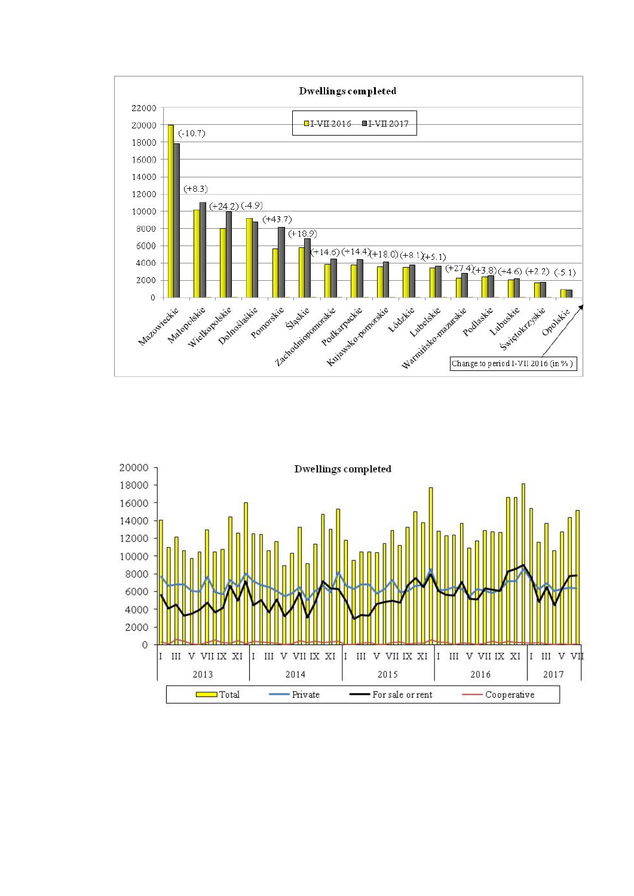